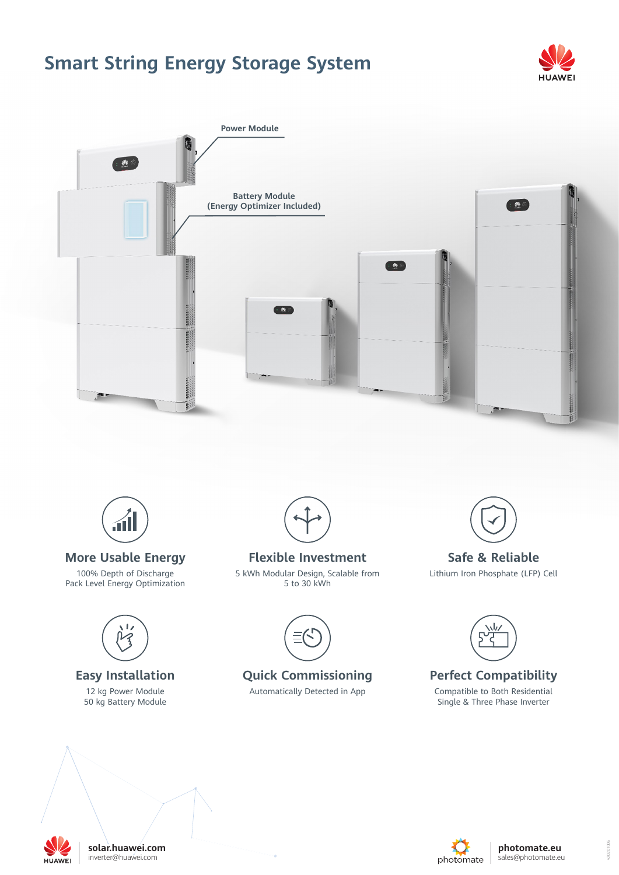# **Smart String Energy Storage System**







## **More Usable Energy**

100% Depth of Discharge Pack Level Energy Optimization



### **Easy Installation** 12 kg Power Module 50 kg Battery Module





**Flexible Investment** 5 kWh Modular Design, Scalable from 5 to 30 kWh



**Quick Commissioning**

Automatically Detected in App



**Safe & Reliable**

Lithium Iron Phosphate (LFP) Cell



**Perfect Compatibility**

Compatible to Both Residential Single & Three Phase Inverter



10201006